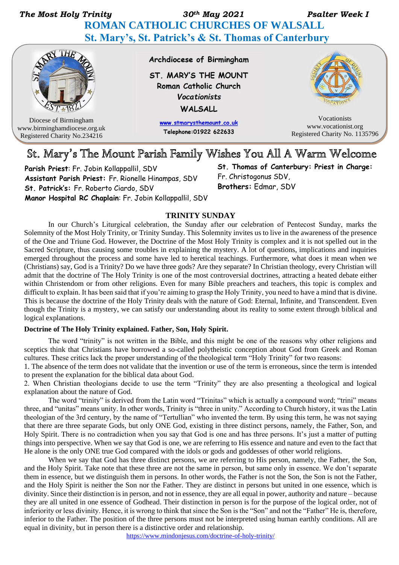*The Most Holy Trinity 30th May 2021 Psalter Week I*   **ROMAN CATHOLIC CHURCHES OF WALSALL St. Mary's, St. Patrick's & St. Thomas of Canterbury**



Diocese of Birmingham www.birminghamdiocese.org.uk Registered Charity No.234216

Archdiocese of Birmingham

ST. MARY'S THE MOUNT Roman Catholic Church **Vocationists** WALSALL

> www.stmarysthemount.co.uk Telephone: 01922 622633



Vocationists www.vocationist.org Registered Charity No. 1135796

# St. Mary's The Mount Parish Family Wishes You All A Warm Welcome

**Parish Priest**: Fr. Jobin Kollappallil, SDV **Assistant Parish Priest:** Fr. Rionelle Hinampas, SDV **St. Patrick's:** Fr. Roberto Ciardo, SDV **Manor Hospital RC Chaplain**: Fr. Jobin Kollappallil, SDV **St. Thomas of Canterbury: Priest in Charge:**  Fr. Christogonus SDV, **Brothers:** Edmar, SDV

#### **TRINITY SUNDAY**

In our Church's Liturgical celebration, the Sunday after our celebration of Pentecost Sunday, marks the Solemnity of the Most Holy Trinity, or Trinity Sunday. This Solemnity invites us to live in the awareness of the presence of the One and Triune God. However, the Doctrine of the Most Holy Trinity is complex and it is not spelled out in the Sacred Scripture, thus causing some troubles in explaining the mystery. A lot of questions, implications and inquiries emerged throughout the process and some have led to heretical teachings. Furthermore, what does it mean when we (Christians) say, God is a Trinity? Do we have three gods? Are they separate? In Christian theology, every Christian will admit that the doctrine of The Holy Trinity is one of the most controversial doctrines, attracting a heated debate either within Christendom or from other religions. Even for many Bible preachers and teachers, this topic is complex and difficult to explain. It has been said that if you're aiming to grasp the Holy Trinity, you need to have a mind that is divine. This is because the doctrine of the Holy Trinity deals with the nature of God: Eternal, Infinite, and Transcendent. Even though the Trinity is a mystery, we can satisfy our understanding about its reality to some extent through biblical and logical explanations.

#### **Doctrine of The Holy Trinity explained. Father, Son, Holy Spirit.**

The word "trinity" is not written in the Bible, and this might be one of the reasons why other religions and sceptics think that Christians have borrowed a so-called polytheistic conception about God from Greek and Roman cultures. These critics lack the proper understanding of the theological term "Holy Trinity" for two reasons:

1. The absence of the term does not validate that the invention or use of the term is erroneous, since the term is intended to present the explanation for the biblical data about God.

2. When Christian theologians decide to use the term "Trinity" they are also presenting a theological and logical explanation about the nature of God.

The word "trinity" is derived from the Latin word "Trinitas" which is actually a compound word; "trini" means three, and "unitas" means unity. In other words, Trinity is "three in unity." According to Church history, it was the Latin theologian of the 3rd century, by the name of "Tertullian" who invented the term. By using this term, he was not saying that there are three separate Gods, but only ONE God, existing in three distinct persons, namely, the Father, Son, and Holy Spirit. There is no contradiction when you say that God is one and has three persons. It's just a matter of putting things into perspective. When we say that God is one, we are referring to His essence and nature and even to the fact that He alone is the only ONE true God compared with the idols or gods and goddesses of other world religions.

When we say that God has three distinct persons, we are referring to His person, namely, the Father, the Son, and the Holy Spirit. Take note that these three are not the same in person, but same only in essence. We don't separate them in essence, but we distinguish them in persons. In other words, the Father is not the Son, the Son is not the Father, and the Holy Spirit is neither the Son nor the Father. They are distinct in persons but united in one essence, which is divinity. Since their distinction is in person, and not in essence, they are all equal in power, authority and nature – because they are all united in one essence of Godhead. Their distinction in person is for the purpose of the logical order, not of inferiority or less divinity. Hence, it is wrong to think that since the Son is the "Son" and not the "Father" He is, therefore, inferior to the Father. The position of the three persons must not be interpreted using human earthly conditions. All are equal in divinity, but in person there is a distinctive order and relationship.

<https://www.mindonjesus.com/doctrine-of-holy-trinity/>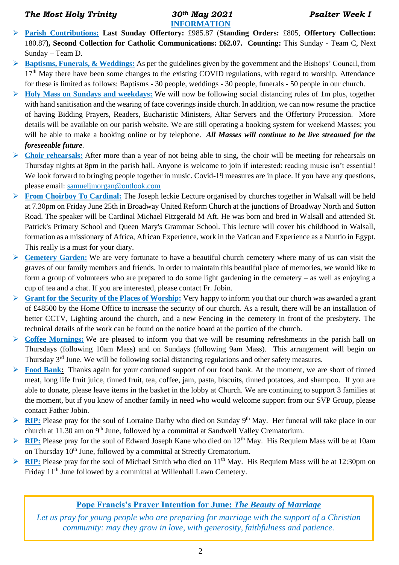### *The Most Holy Trinity 30th May 2021 Psalter Week I*

# **INFORMATION**

- ➢ **Parish Contributions: Last Sunday Offertory:** £985.87 (**Standing Orders:** £805, **Offertory Collection:** 180.87**), Second Collection for Catholic Communications: £62.07. Counting:** This Sunday - Team C, Next Sunday – Team D.
- ➢ **Baptisms, Funerals, & Weddings:** As per the guidelines given by the government and the Bishops' Council, from  $17<sup>th</sup>$  May there have been some changes to the existing COVID regulations, with regard to worship. Attendance for these is limited as follows: Baptisms - 30 people, weddings - 30 people, funerals - 50 people in our church.
- ➢ **Holy Mass on Sundays and weekdays:** We will now be following social distancing rules of 1m plus, together with hand sanitisation and the wearing of face coverings inside church. In addition, we can now resume the practice of having Bidding Prayers, Readers, Eucharistic Ministers, Altar Servers and the Offertory Procession. More details will be available on our parish website. We are still operating a booking system for weekend Masses; you will be able to make a booking online or by telephone. *All Masses will continue to be live streamed for the foreseeable future.*
- ➢ **Choir rehearsals:** After more than a year of not being able to sing, the choir will be meeting for rehearsals on Thursday nights at 8pm in the parish hall. Anyone is welcome to join if interested: reading music isn't essential! We look forward to bringing people together in music. Covid-19 measures are in place. If you have any questions, please email: sa[mueljmorgan@outlook.com](mailto:ueljmorgan@outlook.com)
- ➢ **From Choirboy To Cardinal:** The Joseph leckie Lecture organised by churches together in Walsall will be held at 7.30pm on Friday June 25th in Broadway United Reform Church at the junctions of Broadway North and Sutton Road. The speaker will be Cardinal Michael Fitzgerald M Aft. He was born and bred in Walsall and attended St. Patrick's Primary School and Queen Mary's Grammar School. This lecture will cover his childhood in Walsall, formation as a missionary of Africa, African Experience, work in the Vatican and Experience as a Nuntio in Egypt. This really is a must for your diary.
- ➢ **Cemetery Garden:** We are very fortunate to have a beautiful church cemetery where many of us can visit the graves of our family members and friends. In order to maintain this beautiful place of memories, we would like to form a group of volunteers who are prepared to do some light gardening in the cemetery – as well as enjoying a cup of tea and a chat. If you are interested, please contact Fr. Jobin.
- ➢ **Grant for the Security of the Places of Worship:** Very happy to inform you that our church was awarded a grant of £48500 by the Home Office to increase the security of our church. As a result, there will be an installation of better CCTV, Lighting around the church, and a new Fencing in the cemetery in front of the presbytery. The technical details of the work can be found on the notice board at the portico of the church.
- ➢ **Coffee Mornings:** We are pleased to inform you that we will be resuming refreshments in the parish hall on Thursdays (following 10am Mass) and on Sundays (following 9am Mass). This arrangement will begin on Thursday 3rd June. We will be following social distancing regulations and other safety measures.
- Food Bank: Thanks again for your continued support of our food bank. At the moment, we are short of tinned meat, long life fruit juice, tinned fruit, tea, coffee, jam, pasta, biscuits, tinned potatoes, and shampoo. If you are able to donate, please leave items in the basket in the lobby at Church. We are continuing to support 3 families at the moment, but if you know of another family in need who would welcome support from our SVP Group, please contact Father Jobin.
- ➢ **RIP:** Please pray for the soul of Lorraine Darby who died on Sunday 9th May. Her funeral will take place in our church at 11.30 am on 9<sup>th</sup> June, followed by a committal at Sandwell Valley Crematorium.
- ➢ **RIP:** Please pray for the soul of Edward Joseph Kane who died on 12th May. His Requiem Mass will be at 10am on Thursday 10<sup>th</sup> June, followed by a committal at Streetly Crematorium.
- ➢ **RIP:** Please pray for the soul of Michael Smith who died on 11th May. His Requiem Mass will be at 12:30pm on Friday 11<sup>th</sup> June followed by a committal at Willenhall Lawn Cemetery.

# **Pope Francis's Prayer Intention for June:** *The Beauty of Marriage*

*Let us pray for young people who are preparing for marriage with the support of a Christian community: may they grow in love, with generosity, faithfulness and patience.*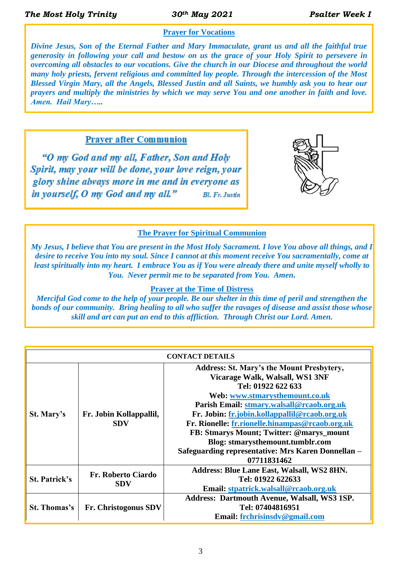# **Prayer for Vocations**

*Divine Jesus, Son of the Eternal Father and Mary Immaculate, grant us and all the faithful true generosity in following your call and bestow on us the grace of your Holy Spirit to persevere in overcoming all obstacles to our vocations. Give the church in our Diocese and throughout the world many holy priests, fervent religious and committed lay people. Through the intercession of the Most Blessed Virgin Mary, all the Angels, Blessed Justin and all Saints, we humbly ask you to hear our prayers and multiply the ministries by which we may serve You and one another in faith and love. Amen. Hail Mary…..*

**Prayer after Communion** 

"O my God and my all, Father, Son and Holy Spirit, may your will be done, your love reign, your glory shine always more in me and in everyone as in yourself, O my God and my all." **Bl. Fr. Justin** 



## **The Prayer for Spiritual Communion**

*My Jesus, I believe that You are present in the Most Holy Sacrament. I love You above all things, and I desire to receive You into my soul. Since I cannot at this moment receive You sacramentally, come at least spiritually into my heart. I embrace You as if You were already there and unite myself wholly to You. Never permit me to be separated from You. Amen.*

#### **Prayer at the Time of Distress**

*Merciful God come to the help of your people. Be our shelter in this time of peril and strengthen the bonds of our community.**Bring healing to all who suffer the ravages of disease and assist those whose skill and art can put an end to this affliction.**Through Christ our Lord. Amen.*

| <b>CONTACT DETAILS</b> |                                         |                                                     |  |  |  |  |  |
|------------------------|-----------------------------------------|-----------------------------------------------------|--|--|--|--|--|
| St. Mary's             |                                         | <b>Address: St. Mary's the Mount Presbytery,</b>    |  |  |  |  |  |
|                        | Fr. Jobin Kollappallil,<br><b>SDV</b>   | Vicarage Walk, Walsall, WS1 3NF                     |  |  |  |  |  |
|                        |                                         | Tel: 01922 622 633                                  |  |  |  |  |  |
|                        |                                         | Web: www.stmarysthemount.co.uk                      |  |  |  |  |  |
|                        |                                         | Parish Email: stmary.walsall@rcaob.org.uk           |  |  |  |  |  |
|                        |                                         | Fr. Jobin: fr.jobin.kollappallil@rcaob.org.uk       |  |  |  |  |  |
|                        |                                         | Fr. Rionelle: fr.rionelle.hinampas@rcaob.org.uk     |  |  |  |  |  |
|                        |                                         | FB: Stmarys Mount; Twitter: @marys_mount            |  |  |  |  |  |
|                        |                                         | Blog: stmarysthemount.tumblr.com                    |  |  |  |  |  |
|                        |                                         | Safeguarding representative: Mrs Karen Donnellan -  |  |  |  |  |  |
|                        |                                         | 07711831462                                         |  |  |  |  |  |
| <b>St. Patrick's</b>   | <b>Fr. Roberto Ciardo</b><br><b>SDV</b> | <b>Address: Blue Lane East, Walsall, WS2 8HN.</b>   |  |  |  |  |  |
|                        |                                         | Tel: 01922 622633                                   |  |  |  |  |  |
|                        |                                         | Email: stpatrick.walsall@rcaob.org.uk               |  |  |  |  |  |
| <b>St. Thomas's</b>    | Fr. Christogonus SDV                    | <b>Address: Dartmouth Avenue, Walsall, WS3 1SP.</b> |  |  |  |  |  |
|                        |                                         | Tel: 07404816951                                    |  |  |  |  |  |
|                        |                                         | Email: frchrisinsdv@gmail.com                       |  |  |  |  |  |